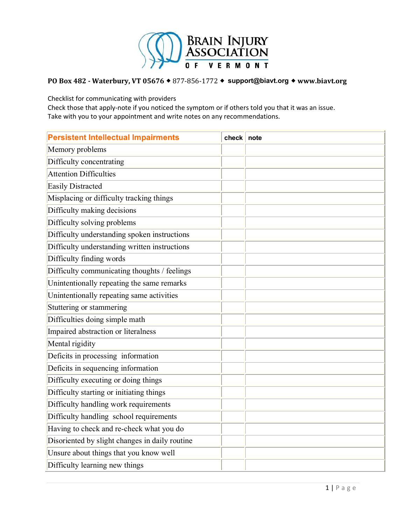

Checklist for communicating with providers

| <b>Persistent Intellectual Impairments</b>     | check | note |
|------------------------------------------------|-------|------|
| Memory problems                                |       |      |
| Difficulty concentrating                       |       |      |
| <b>Attention Difficulties</b>                  |       |      |
| <b>Easily Distracted</b>                       |       |      |
| Misplacing or difficulty tracking things       |       |      |
| Difficulty making decisions                    |       |      |
| Difficulty solving problems                    |       |      |
| Difficulty understanding spoken instructions   |       |      |
| Difficulty understanding written instructions  |       |      |
| Difficulty finding words                       |       |      |
| Difficulty communicating thoughts / feelings   |       |      |
| Unintentionally repeating the same remarks     |       |      |
| Unintentionally repeating same activities      |       |      |
| Stuttering or stammering                       |       |      |
| Difficulties doing simple math                 |       |      |
| Impaired abstraction or literalness            |       |      |
| Mental rigidity                                |       |      |
| Deficits in processing information             |       |      |
| Deficits in sequencing information             |       |      |
| Difficulty executing or doing things           |       |      |
| Difficulty starting or initiating things       |       |      |
| Difficulty handling work requirements          |       |      |
| Difficulty handling school requirements        |       |      |
| Having to check and re-check what you do       |       |      |
| Disoriented by slight changes in daily routine |       |      |
| Unsure about things that you know well         |       |      |
| Difficulty learning new things                 |       |      |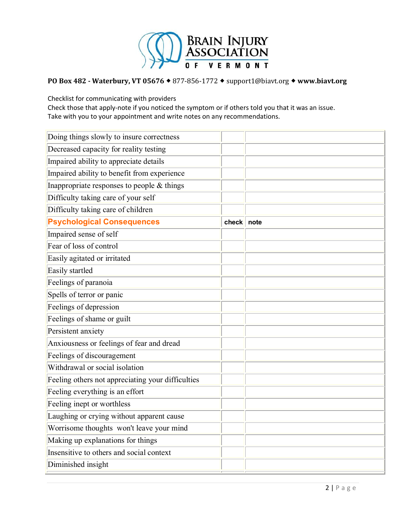

Checklist for communicating with providers

| Doing things slowly to insure correctness         |       |      |
|---------------------------------------------------|-------|------|
| Decreased capacity for reality testing            |       |      |
| Impaired ability to appreciate details            |       |      |
| Impaired ability to benefit from experience       |       |      |
| Inappropriate responses to people & things        |       |      |
| Difficulty taking care of your self               |       |      |
| Difficulty taking care of children                |       |      |
| <b>Psychological Consequences</b>                 | check | note |
| Impaired sense of self                            |       |      |
| Fear of loss of control                           |       |      |
| Easily agitated or irritated                      |       |      |
| Easily startled                                   |       |      |
| Feelings of paranoia                              |       |      |
| Spells of terror or panic                         |       |      |
| Feelings of depression                            |       |      |
| Feelings of shame or guilt                        |       |      |
| Persistent anxiety                                |       |      |
| Anxiousness or feelings of fear and dread         |       |      |
| Feelings of discouragement                        |       |      |
| Withdrawal or social isolation                    |       |      |
| Feeling others not appreciating your difficulties |       |      |
| Feeling everything is an effort                   |       |      |
| Feeling inept or worthless                        |       |      |
| Laughing or crying without apparent cause         |       |      |
| Worrisome thoughts won't leave your mind          |       |      |
| Making up explanations for things                 |       |      |
| Insensitive to others and social context          |       |      |
| Diminished insight                                |       |      |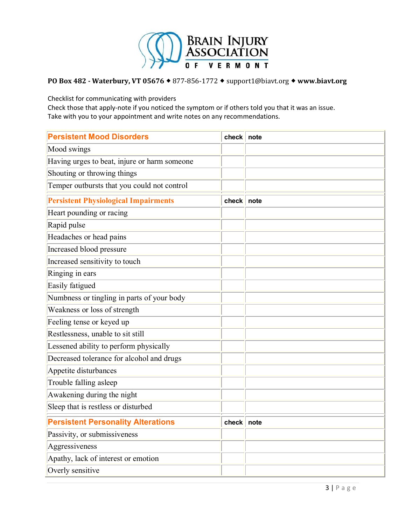

Checklist for communicating with providers

| <b>Persistent Mood Disorders</b>             | check        | note |
|----------------------------------------------|--------------|------|
| Mood swings                                  |              |      |
| Having urges to beat, injure or harm someone |              |      |
| Shouting or throwing things                  |              |      |
| Temper outbursts that you could not control  |              |      |
| <b>Persistent Physiological Impairments</b>  | check        | note |
| Heart pounding or racing                     |              |      |
| Rapid pulse                                  |              |      |
| Headaches or head pains                      |              |      |
| Increased blood pressure                     |              |      |
| Increased sensitivity to touch               |              |      |
| Ringing in ears                              |              |      |
| Easily fatigued                              |              |      |
| Numbness or tingling in parts of your body   |              |      |
| Weakness or loss of strength                 |              |      |
| Feeling tense or keyed up                    |              |      |
| Restlessness, unable to sit still            |              |      |
| Lessened ability to perform physically       |              |      |
| Decreased tolerance for alcohol and drugs    |              |      |
| Appetite disturbances                        |              |      |
| Trouble falling asleep                       |              |      |
| Awakening during the night                   |              |      |
| Sleep that is restless or disturbed          |              |      |
| <b>Persistent Personality Alterations</b>    | check   note |      |
| Passivity, or submissiveness                 |              |      |
| Aggressiveness                               |              |      |
| Apathy, lack of interest or emotion          |              |      |
| Overly sensitive                             |              |      |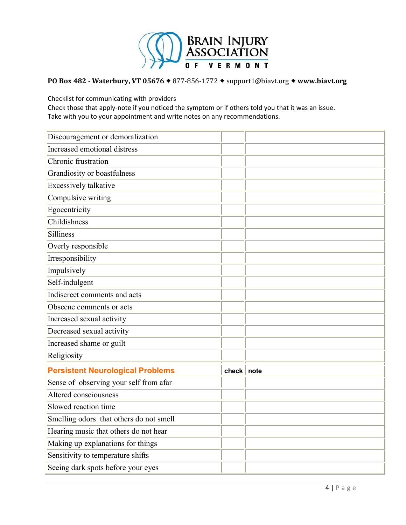

Checklist for communicating with providers

| Discouragement or demoralization        |            |  |
|-----------------------------------------|------------|--|
| Increased emotional distress            |            |  |
| Chronic frustration                     |            |  |
| Grandiosity or boastfulness             |            |  |
| Excessively talkative                   |            |  |
| Compulsive writing                      |            |  |
| Egocentricity                           |            |  |
| Childishness                            |            |  |
| Silliness                               |            |  |
| Overly responsible                      |            |  |
| Irresponsibility                        |            |  |
| Impulsively                             |            |  |
| Self-indulgent                          |            |  |
| Indiscreet comments and acts            |            |  |
| Obscene comments or acts                |            |  |
| Increased sexual activity               |            |  |
| Decreased sexual activity               |            |  |
| Increased shame or guilt                |            |  |
| Religiosity                             |            |  |
| <b>Persistent Neurological Problems</b> | check note |  |
| Sense of observing your self from afar  |            |  |
| Altered consciousness                   |            |  |
| Slowed reaction time                    |            |  |
| Smelling odors that others do not smell |            |  |
| Hearing music that others do not hear   |            |  |
| Making up explanations for things       |            |  |
| Sensitivity to temperature shifts       |            |  |
| Seeing dark spots before your eyes      |            |  |